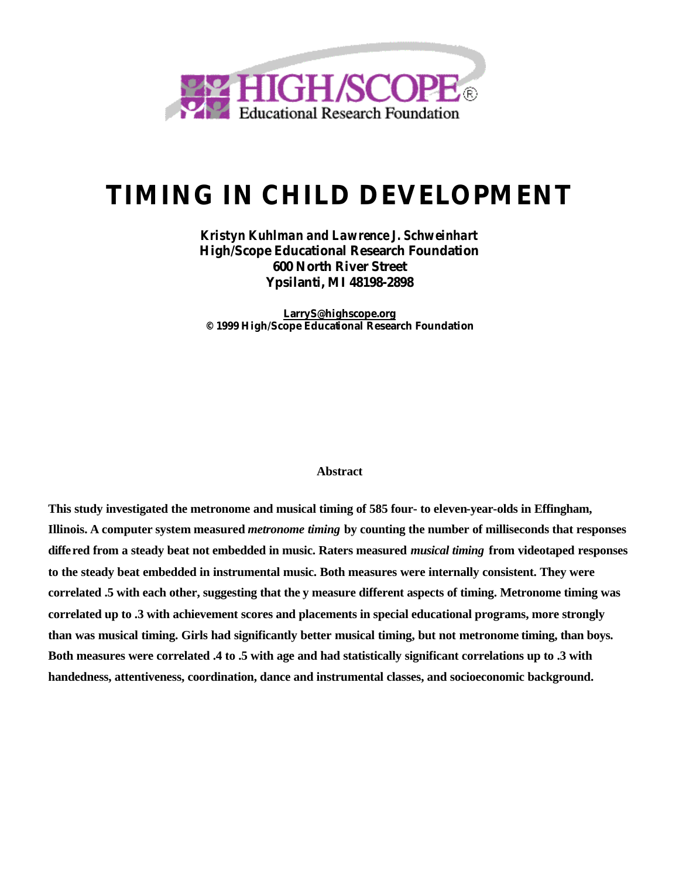

# **TIMING IN CHILD DEVELOPMENT**

*Kristyn Kuhlman and Lawrence J. Schweinhart* **High/Scope Educational Research Foundation 600 North River Street Ypsilanti, MI 48198-2898**

**LarryS@highscope.org © 1999 High/Scope Educational Research Foundation**

#### **Abstract**

**This study investigated the metronome and musical timing of 585 four- to eleven-year-olds in Effingham, Illinois. A computer system measured** *metronome timing* **by counting the number of milliseconds that responses differed from a steady beat not embedded in music. Raters measured** *musical timing* **from videotaped responses to the steady beat embedded in instrumental music. Both measures were internally consistent. They were correlated .5 with each other, suggesting that the y measure different aspects of timing. Metronome timing was correlated up to .3 with achievement scores and placements in special educational programs, more strongly than was musical timing. Girls had significantly better musical timing, but not metronome timing, than boys. Both measures were correlated .4 to .5 with age and had statistically significant correlations up to .3 with handedness, attentiveness, coordination, dance and instrumental classes, and socioeconomic background.**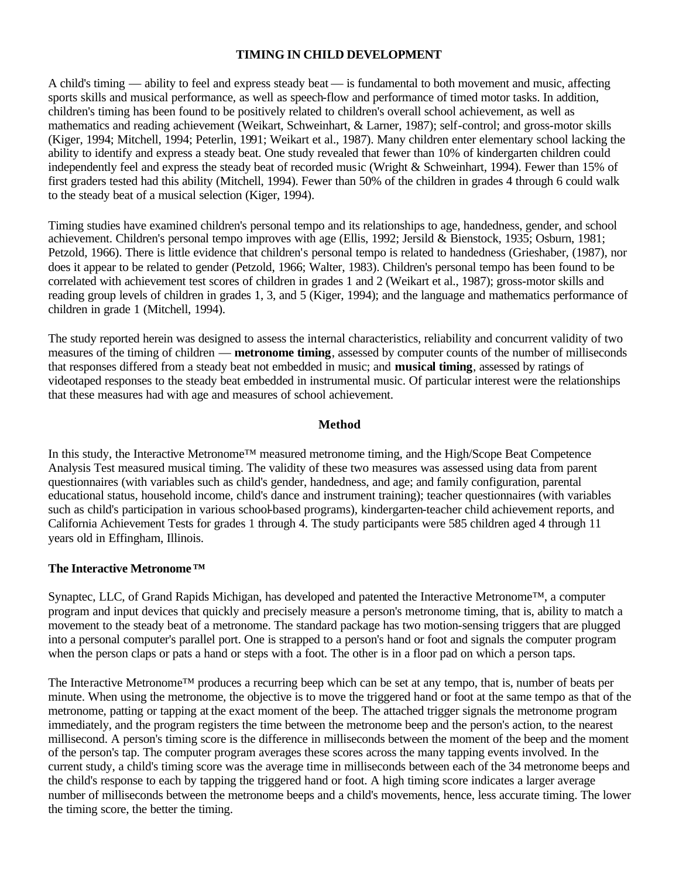# **TIMING IN CHILD DEVELOPMENT**

A child's timing — ability to feel and express steady beat — is fundamental to both movement and music, affecting sports skills and musical performance, as well as speech-flow and performance of timed motor tasks. In addition, children's timing has been found to be positively related to children's overall school achievement, as well as mathematics and reading achievement (Weikart, Schweinhart, & Larner, 1987); self-control; and gross-motor skills (Kiger, 1994; Mitchell, 1994; Peterlin, 1991; Weikart et al., 1987). Many children enter elementary school lacking the ability to identify and express a steady beat. One study revealed that fewer than 10% of kindergarten children could independently feel and express the steady beat of recorded music (Wright & Schweinhart, 1994). Fewer than 15% of first graders tested had this ability (Mitchell, 1994). Fewer than 50% of the children in grades 4 through 6 could walk to the steady beat of a musical selection (Kiger, 1994).

Timing studies have examined children's personal tempo and its relationships to age, handedness, gender, and school achievement. Children's personal tempo improves with age (Ellis, 1992; Jersild & Bienstock, 1935; Osburn, 1981; Petzold, 1966). There is little evidence that children's personal tempo is related to handedness (Grieshaber, (1987), nor does it appear to be related to gender (Petzold, 1966; Walter, 1983). Children's personal tempo has been found to be correlated with achievement test scores of children in grades 1 and 2 (Weikart et al., 1987); gross-motor skills and reading group levels of children in grades 1, 3, and 5 (Kiger, 1994); and the language and mathematics performance of children in grade 1 (Mitchell, 1994).

The study reported herein was designed to assess the internal characteristics, reliability and concurrent validity of two measures of the timing of children — **metronome timing**, assessed by computer counts of the number of milliseconds that responses differed from a steady beat not embedded in music; and **musical timing**, assessed by ratings of videotaped responses to the steady beat embedded in instrumental music. Of particular interest were the relationships that these measures had with age and measures of school achievement.

### **Method**

In this study, the Interactive Metronome™ measured metronome timing, and the High/Scope Beat Competence Analysis Test measured musical timing. The validity of these two measures was assessed using data from parent questionnaires (with variables such as child's gender, handedness, and age; and family configuration, parental educational status, household income, child's dance and instrument training); teacher questionnaires (with variables such as child's participation in various school-based programs), kindergarten-teacher child achievement reports, and California Achievement Tests for grades 1 through 4. The study participants were 585 children aged 4 through 11 years old in Effingham, Illinois.

### **The Interactive Metronome™**

Synaptec, LLC, of Grand Rapids Michigan, has developed and patented the Interactive Metronome™, a computer program and input devices that quickly and precisely measure a person's metronome timing, that is, ability to match a movement to the steady beat of a metronome. The standard package has two motion-sensing triggers that are plugged into a personal computer's parallel port. One is strapped to a person's hand or foot and signals the computer program when the person claps or pats a hand or steps with a foot. The other is in a floor pad on which a person taps.

The Interactive Metronome<sup>™</sup> produces a recurring beep which can be set at any tempo, that is, number of beats per minute. When using the metronome, the objective is to move the triggered hand or foot at the same tempo as that of the metronome, patting or tapping at the exact moment of the beep. The attached trigger signals the metronome program immediately, and the program registers the time between the metronome beep and the person's action, to the nearest millisecond. A person's timing score is the difference in milliseconds between the moment of the beep and the moment of the person's tap. The computer program averages these scores across the many tapping events involved. In the current study, a child's timing score was the average time in milliseconds between each of the 34 metronome beeps and the child's response to each by tapping the triggered hand or foot. A high timing score indicates a larger average number of milliseconds between the metronome beeps and a child's movements, hence, less accurate timing. The lower the timing score, the better the timing.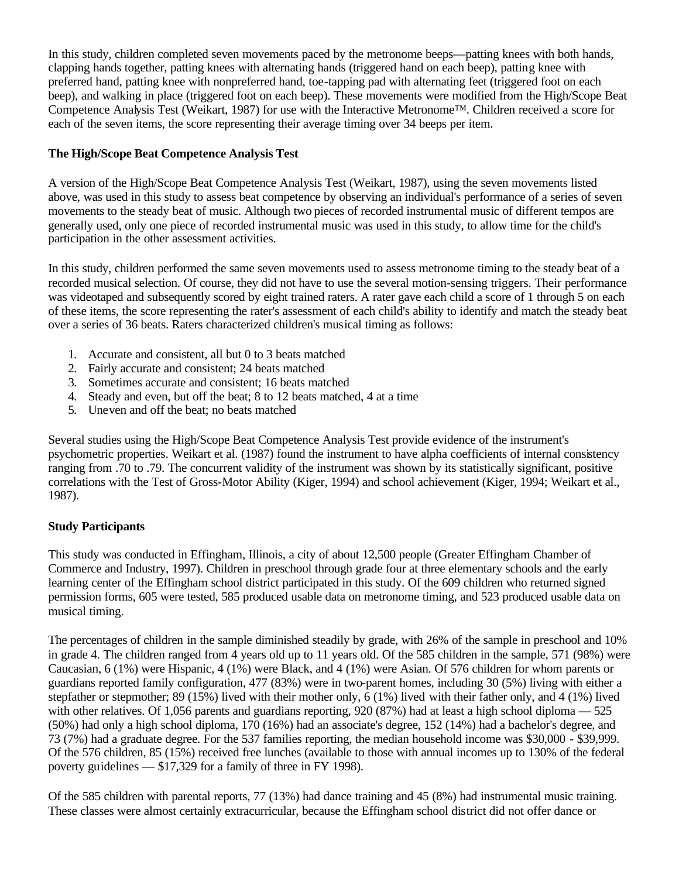In this study, children completed seven movements paced by the metronome beeps—patting knees with both hands, clapping hands together, patting knees with alternating hands (triggered hand on each beep), patting knee with preferred hand, patting knee with nonpreferred hand, toe-tapping pad with alternating feet (triggered foot on each beep), and walking in place (triggered foot on each beep). These movements were modified from the High/Scope Beat Competence Analysis Test (Weikart, 1987) for use with the Interactive Metronome™. Children received a score for each of the seven items, the score representing their average timing over 34 beeps per item.

# **The High/Scope Beat Competence Analysis Test**

A version of the High/Scope Beat Competence Analysis Test (Weikart, 1987), using the seven movements listed above, was used in this study to assess beat competence by observing an individual's performance of a series of seven movements to the steady beat of music. Although two pieces of recorded instrumental music of different tempos are generally used, only one piece of recorded instrumental music was used in this study, to allow time for the child's participation in the other assessment activities.

In this study, children performed the same seven movements used to assess metronome timing to the steady beat of a recorded musical selection. Of course, they did not have to use the several motion-sensing triggers. Their performance was videotaped and subsequently scored by eight trained raters. A rater gave each child a score of 1 through 5 on each of these items, the score representing the rater's assessment of each child's ability to identify and match the steady beat over a series of 36 beats. Raters characterized children's musical timing as follows:

- 1. Accurate and consistent, all but 0 to 3 beats matched
- 2. Fairly accurate and consistent; 24 beats matched
- 3. Sometimes accurate and consistent; 16 beats matched
- 4. Steady and even, but off the beat; 8 to 12 beats matched, 4 at a time
- 5. Uneven and off the beat; no beats matched

Several studies using the High/Scope Beat Competence Analysis Test provide evidence of the instrument's psychometric properties. Weikart et al. (1987) found the instrument to have alpha coefficients of internal consistency ranging from .70 to .79. The concurrent validity of the instrument was shown by its statistically significant, positive correlations with the Test of Gross-Motor Ability (Kiger, 1994) and school achievement (Kiger, 1994; Weikart et al., 1987).

### **Study Participants**

This study was conducted in Effingham, Illinois, a city of about 12,500 people (Greater Effingham Chamber of Commerce and Industry, 1997). Children in preschool through grade four at three elementary schools and the early learning center of the Effingham school district participated in this study. Of the 609 children who returned signed permission forms, 605 were tested, 585 produced usable data on metronome timing, and 523 produced usable data on musical timing.

The percentages of children in the sample diminished steadily by grade, with 26% of the sample in preschool and 10% in grade 4. The children ranged from 4 years old up to 11 years old. Of the 585 children in the sample, 571 (98%) were Caucasian, 6 (1%) were Hispanic, 4 (1%) were Black, and 4 (1%) were Asian. Of 576 children for whom parents or guardians reported family configuration, 477 (83%) were in two-parent homes, including 30 (5%) living with either a stepfather or stepmother; 89 (15%) lived with their mother only, 6 (1%) lived with their father only, and 4 (1%) lived with other relatives. Of 1,056 parents and guardians reporting, 920 (87%) had at least a high school diploma — 525 (50%) had only a high school diploma, 170 (16%) had an associate's degree, 152 (14%) had a bachelor's degree, and 73 (7%) had a graduate degree. For the 537 families reporting, the median household income was \$30,000 - \$39,999. Of the 576 children, 85 (15%) received free lunches (available to those with annual incomes up to 130% of the federal poverty guidelines — \$17,329 for a family of three in FY 1998).

Of the 585 children with parental reports, 77 (13%) had dance training and 45 (8%) had instrumental music training. These classes were almost certainly extracurricular, because the Effingham school district did not offer dance or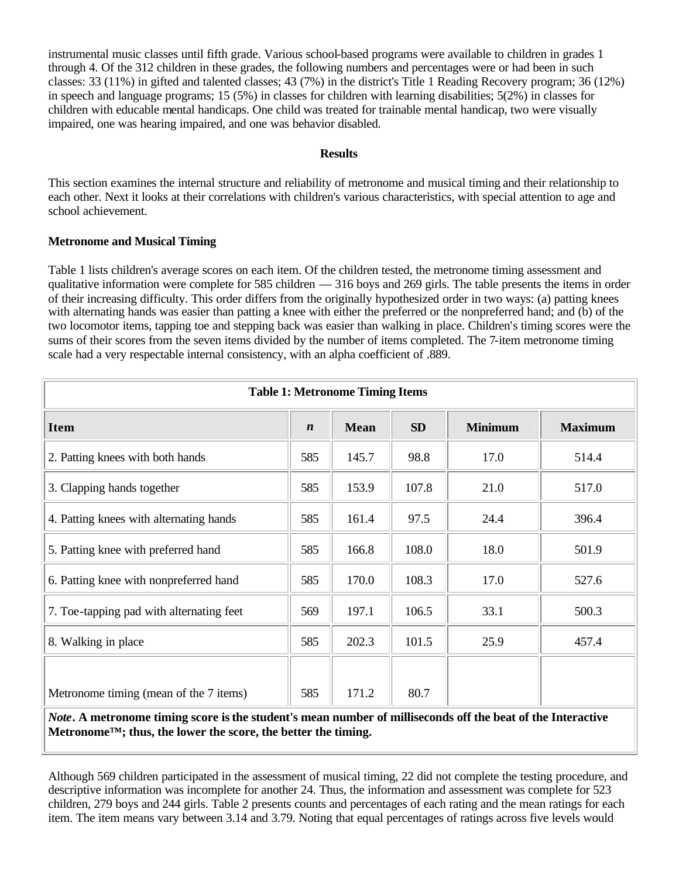instrumental music classes until fifth grade. Various school-based programs were available to children in grades 1 through 4. Of the 312 children in these grades, the following numbers and percentages were or had been in such classes: 33 (11%) in gifted and talented classes; 43 (7%) in the district's Title 1 Reading Recovery program; 36 (12%) in speech and language programs; 15 (5%) in classes for children with learning disabilities; 5(2%) in classes for children with educable mental handicaps. One child was treated for trainable mental handicap, two were visually impaired, one was hearing impaired, and one was behavior disabled.

#### **Results**

This section examines the internal structure and reliability of metronome and musical timing and their relationship to each other. Next it looks at their correlations with children's various characteristics, with special attention to age and school achievement.

# **Metronome and Musical Timing**

Table 1 lists children's average scores on each item. Of the children tested, the metronome timing assessment and qualitative information were complete for 585 children — 316 boys and 269 girls. The table presents the items in order of their increasing difficulty. This order differs from the originally hypothesized order in two ways: (a) patting knees with alternating hands was easier than patting a knee with either the preferred or the nonpreferred hand; and (b) of the two locomotor items, tapping toe and stepping back was easier than walking in place. Children's timing scores were the sums of their scores from the seven items divided by the number of items completed. The 7-item metronome timing scale had a very respectable internal consistency, with an alpha coefficient of .889.

| <b>Table 1: Metronome Timing Items</b>   |                                 |       |       |                |                |  |  |  |
|------------------------------------------|---------------------------------|-------|-------|----------------|----------------|--|--|--|
| <b>Item</b>                              | <b>Mean</b><br>$\boldsymbol{n}$ |       | SD    | <b>Minimum</b> | <b>Maximum</b> |  |  |  |
| 2. Patting knees with both hands         | 585                             | 145.7 | 98.8  | 17.0           | 514.4          |  |  |  |
| 3. Clapping hands together               | 585                             | 153.9 | 107.8 | 21.0           | 517.0          |  |  |  |
| 4. Patting knees with alternating hands  | 585                             | 161.4 | 97.5  | 24.4           | 396.4          |  |  |  |
| 5. Patting knee with preferred hand      | 585                             | 166.8 | 108.0 | 18.0           | 501.9          |  |  |  |
| 6. Patting knee with nonpreferred hand   |                                 | 170.0 | 108.3 | 17.0           | 527.6          |  |  |  |
| 7. Toe-tapping pad with alternating feet |                                 | 197.1 | 106.5 | 33.1           | 500.3          |  |  |  |
| 8. Walking in place                      |                                 | 202.3 | 101.5 | 25.9           | 457.4          |  |  |  |
|                                          |                                 |       |       |                |                |  |  |  |
| Metronome timing (mean of the 7 items)   | 585                             | 171.2 | 80.7  |                |                |  |  |  |

*Note***. A metronome timing score is the student's mean number of milliseconds off the beat of the Interactive Metronome™; thus, the lower the score, the better the timing.**

Although 569 children participated in the assessment of musical timing, 22 did not complete the testing procedure, and descriptive information was incomplete for another 24. Thus, the information and assessment was complete for 523 children, 279 boys and 244 girls. Table 2 presents counts and percentages of each rating and the mean ratings for each item. The item means vary between 3.14 and 3.79. Noting that equal percentages of ratings across five levels would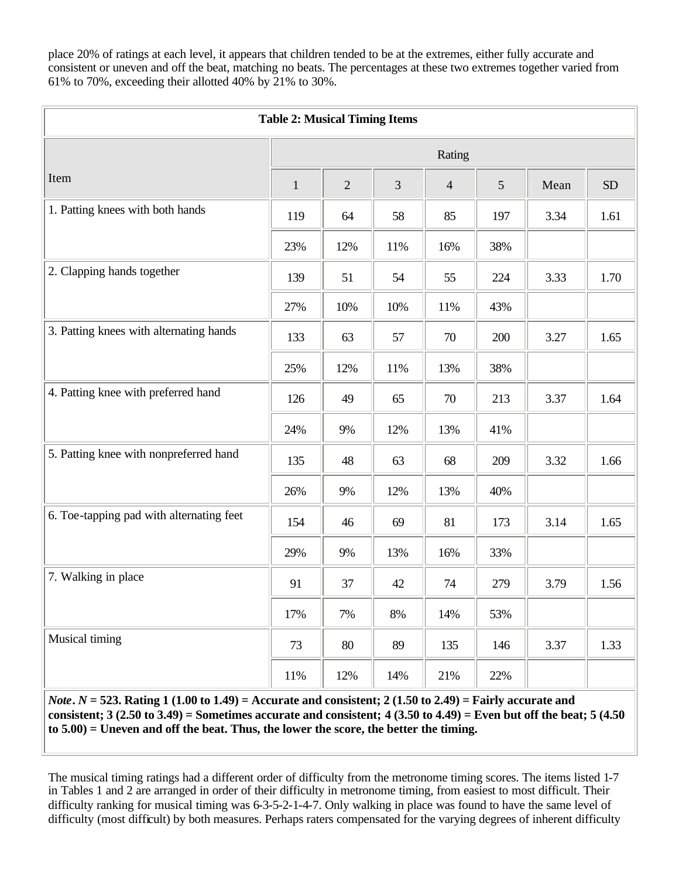place 20% of ratings at each level, it appears that children tended to be at the extremes, either fully accurate and consistent or uneven and off the beat, matching no beats. The percentages at these two extremes together varied from 61% to 70%, exceeding their allotted 40% by 21% to 30%.

| <b>Table 2: Musical Timing Items</b>     |              |                |       |                |     |      |      |  |
|------------------------------------------|--------------|----------------|-------|----------------|-----|------|------|--|
|                                          | Rating       |                |       |                |     |      |      |  |
| Item                                     | $\mathbf{1}$ | $\overline{2}$ | 3     | $\overline{4}$ | 5   | Mean | SD   |  |
| 1. Patting knees with both hands         | 119          | 64             | 58    | 85             | 197 | 3.34 | 1.61 |  |
|                                          | 23%          | 12%            | 11%   | 16%            | 38% |      |      |  |
| 2. Clapping hands together               | 139          | 51             | 54    | 55             | 224 | 3.33 | 1.70 |  |
|                                          | 27%          | 10%            | 10%   | 11%            | 43% |      |      |  |
| 3. Patting knees with alternating hands  | 133          | 63             | 57    | 70             | 200 | 3.27 | 1.65 |  |
|                                          | 25%          | 12%            | 11%   | 13%            | 38% |      |      |  |
| 4. Patting knee with preferred hand      | 126          | 49             | 65    | 70             | 213 | 3.37 | 1.64 |  |
|                                          | 24%          | 9%             | 12%   | 13%            | 41% |      |      |  |
| 5. Patting knee with nonpreferred hand   | 135          | 48             | 63    | 68             | 209 | 3.32 | 1.66 |  |
|                                          | 26%          | 9%             | 12%   | 13%            | 40% |      |      |  |
| 6. Toe-tapping pad with alternating feet | 154          | 46             | 69    | 81             | 173 | 3.14 | 1.65 |  |
|                                          | 29%          | 9%             | 13%   | 16%            | 33% |      |      |  |
| 7. Walking in place                      | 91           | 37             | 42    | 74             | 279 | 3.79 | 1.56 |  |
|                                          | 17%          | 7%             | $8\%$ | 14%            | 53% |      |      |  |
| Musical timing                           | 73           | 80             | 89    | 135            | 146 | 3.37 | 1.33 |  |
|                                          | $11\%$       | 12%            | 14%   | $21\%$         | 22% |      |      |  |

*Note***.** *N* **= 523. Rating 1 (1.00 to 1.49) = Accurate and consistent; 2 (1.50 to 2.49) = Fairly accurate and consistent; 3 (2.50 to 3.49) = Sometimes accurate and consistent; 4 (3.50 to 4.49) = Even but off the beat; 5 (4.50 to 5.00) = Uneven and off the beat. Thus, the lower the score, the better the timing.** 

The musical timing ratings had a different order of difficulty from the metronome timing scores. The items listed 1-7 in Tables 1 and 2 are arranged in order of their difficulty in metronome timing, from easiest to most difficult. Their difficulty ranking for musical timing was 6-3-5-2-1-4-7. Only walking in place was found to have the same level of difficulty (most difficult) by both measures. Perhaps raters compensated for the varying degrees of inherent difficulty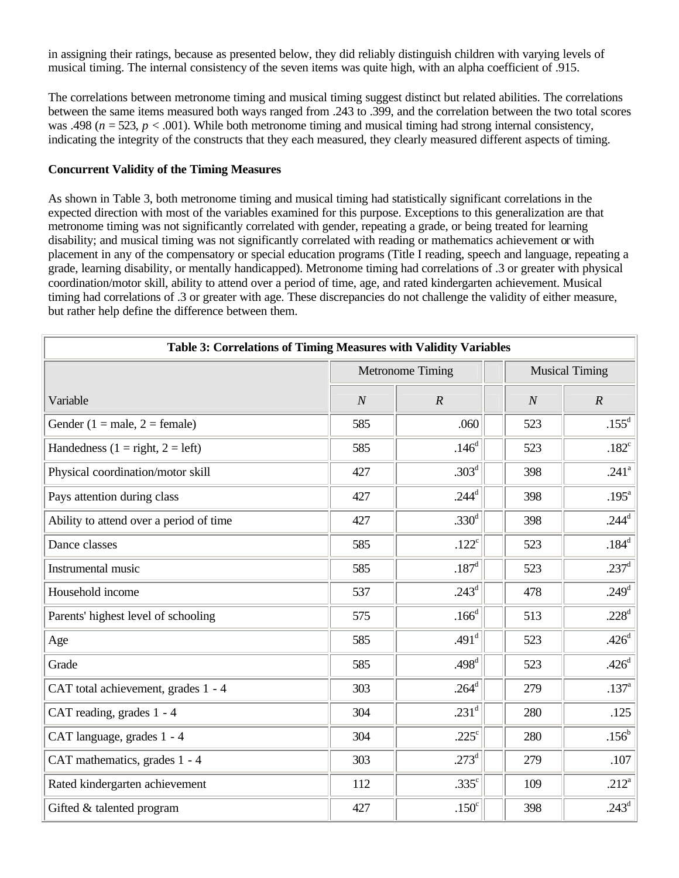in assigning their ratings, because as presented below, they did reliably distinguish children with varying levels of musical timing. The internal consistency of the seven items was quite high, with an alpha coefficient of .915.

The correlations between metronome timing and musical timing suggest distinct but related abilities. The correlations between the same items measured both ways ranged from .243 to .399, and the correlation between the two total scores was .498 ( $n = 523$ ,  $p < .001$ ). While both metronome timing and musical timing had strong internal consistency, indicating the integrity of the constructs that they each measured, they clearly measured different aspects of timing.

## **Concurrent Validity of the Timing Measures**

As shown in Table 3, both metronome timing and musical timing had statistically significant correlations in the expected direction with most of the variables examined for this purpose. Exceptions to this generalization are that metronome timing was not significantly correlated with gender, repeating a grade, or being treated for learning disability; and musical timing was not significantly correlated with reading or mathematics achievement or with placement in any of the compensatory or special education programs (Title I reading, speech and language, repeating a grade, learning disability, or mentally handicapped). Metronome timing had correlations of .3 or greater with physical coordination/motor skill, ability to attend over a period of time, age, and rated kindergarten achievement. Musical timing had correlations of .3 or greater with age. These discrepancies do not challenge the validity of either measure, but rather help define the difference between them.

| Table 3: Correlations of Timing Measures with Validity Variables |                |                         |                       |                   |  |  |  |  |
|------------------------------------------------------------------|----------------|-------------------------|-----------------------|-------------------|--|--|--|--|
|                                                                  |                | <b>Metronome Timing</b> | <b>Musical Timing</b> |                   |  |  |  |  |
| Variable                                                         | $\overline{N}$ | $\boldsymbol{R}$        | $\boldsymbol{N}$      | $\boldsymbol{R}$  |  |  |  |  |
| Gender (1 = male, 2 = female)                                    | 585            | .060                    | 523                   | $.155^d$          |  |  |  |  |
| Handedness $(1 = right, 2 = left)$                               | 585            | .146 <sup>d</sup>       | 523                   | .182 <sup>c</sup> |  |  |  |  |
| Physical coordination/motor skill                                | 427            | $.303^{\rm d}$          | 398                   | $.241^{\circ}$    |  |  |  |  |
| Pays attention during class                                      | 427            | $.244^d$                | 398                   | .195 $a$          |  |  |  |  |
| Ability to attend over a period of time                          | 427            | .330 <sup>d</sup>       | 398                   | $.244^d$          |  |  |  |  |
| Dance classes                                                    | 585            | .122 <sup>c</sup>       | 523                   | .184 <sup>d</sup> |  |  |  |  |
| Instrumental music                                               | 585            | .187 <sup>d</sup>       | 523                   | $.237^{\rm d}$    |  |  |  |  |
| Household income                                                 | 537            | $.243^{\rm d}$          | 478                   | .249 <sup>d</sup> |  |  |  |  |
| Parents' highest level of schooling                              | 575            | .166 <sup>d</sup>       | 513                   | .228 $d$          |  |  |  |  |
| Age                                                              | 585            | .491 <sup>d</sup>       | 523                   | .426 <sup>d</sup> |  |  |  |  |
| Grade                                                            | 585            | .498 <sup>d</sup>       | 523                   | .426 <sup>d</sup> |  |  |  |  |
| CAT total achievement, grades 1 - 4                              | 303            | $.264^{\rm d}$          | 279                   | .137 <sup>a</sup> |  |  |  |  |
| CAT reading, grades 1 - 4                                        | 304            | $.231^{\rm d}$          | 280                   | .125              |  |  |  |  |
| CAT language, grades 1 - 4                                       | 304            | .225 $\mathrm{c}$       | 280                   | $.156^{\rm b}$    |  |  |  |  |
| CAT mathematics, grades 1 - 4                                    | 303            | $.273^{\rm d}$          | 279                   | .107              |  |  |  |  |
| Rated kindergarten achievement                                   | 112            | $.335^{\circ}$          | 109                   | $.212^{\rm a}$    |  |  |  |  |
| Gifted & talented program                                        | 427            | .150 <sup>c</sup>       | 398                   | .243 $^d$         |  |  |  |  |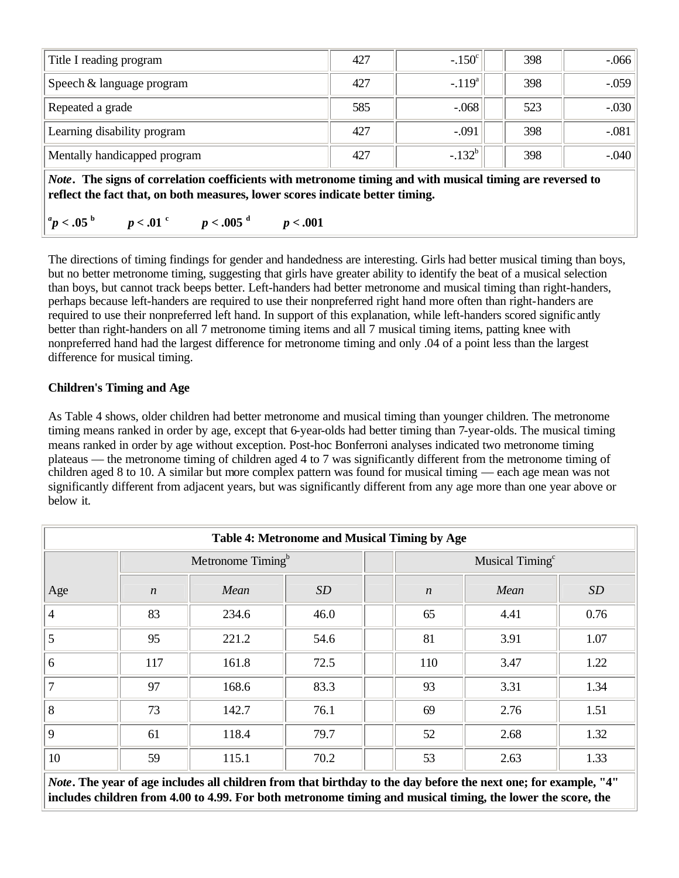| Title I reading program                                                                                                                                                                                                                                               | 427 | $-.150^{\circ}$ | 398 | $-0.066$ |  |  |  |  |
|-----------------------------------------------------------------------------------------------------------------------------------------------------------------------------------------------------------------------------------------------------------------------|-----|-----------------|-----|----------|--|--|--|--|
| Speech & language program                                                                                                                                                                                                                                             | 427 | $-.119a$        | 398 | $-.059$  |  |  |  |  |
| Repeated a grade                                                                                                                                                                                                                                                      | 585 | $-.068$         | 523 | $-.030$  |  |  |  |  |
| Learning disability program                                                                                                                                                                                                                                           | 427 | $-.091$         | 398 | $-.081$  |  |  |  |  |
| Mentally handicapped program                                                                                                                                                                                                                                          | 427 | $-.132^b$       | 398 | $-.040$  |  |  |  |  |
| <i>Note.</i> The signs of correlation coefficients with metronome timing and with musical timing are reversed to<br>reflect the fact that, on both measures, lower scores indicate better timing.<br>$\parallel^a\!p<.05$ b<br>$p < .01$ c c $p < .005$ d<br>p < .001 |     |                 |     |          |  |  |  |  |

The directions of timing findings for gender and handedness are interesting. Girls had better musical timing than boys, but no better metronome timing, suggesting that girls have greater ability to identify the beat of a musical selection than boys, but cannot track beeps better. Left-handers had better metronome and musical timing than right-handers, perhaps because left-handers are required to use their nonpreferred right hand more often than right-handers are required to use their nonpreferred left hand. In support of this explanation, while left-handers scored signific antly better than right-handers on all 7 metronome timing items and all 7 musical timing items, patting knee with nonpreferred hand had the largest difference for metronome timing and only .04 of a point less than the largest difference for musical timing.

# **Children's Timing and Age**

As Table 4 shows, older children had better metronome and musical timing than younger children. The metronome timing means ranked in order by age, except that 6-year-olds had better timing than 7-year-olds. The musical timing means ranked in order by age without exception. Post-hoc Bonferroni analyses indicated two metronome timing plateaus — the metronome timing of children aged 4 to 7 was significantly different from the metronome timing of children aged 8 to 10. A similar but more complex pattern was found for musical timing — each age mean was not significantly different from adjacent years, but was significantly different from any age more than one year above or below it.

| Table 4: Metronome and Musical Timing by Age |                               |       |      |  |                             |      |      |  |  |
|----------------------------------------------|-------------------------------|-------|------|--|-----------------------------|------|------|--|--|
|                                              | Metronome Timing <sup>b</sup> |       |      |  | Musical Timing <sup>c</sup> |      |      |  |  |
| Age                                          | $\boldsymbol{n}$              | Mean  | SD   |  | $\boldsymbol{n}$            | Mean | SD   |  |  |
| $\overline{4}$                               | 83                            | 234.6 | 46.0 |  | 65                          | 4.41 | 0.76 |  |  |
| 5                                            | 95                            | 221.2 | 54.6 |  | 81                          | 3.91 | 1.07 |  |  |
| 6                                            | 117                           | 161.8 | 72.5 |  | 110                         | 3.47 | 1.22 |  |  |
| $\overline{7}$                               | 97                            | 168.6 | 83.3 |  | 93                          | 3.31 | 1.34 |  |  |
| 8                                            | 73                            | 142.7 | 76.1 |  | 69                          | 2.76 | 1.51 |  |  |
| $\overline{9}$                               | 61                            | 118.4 | 79.7 |  | 52                          | 2.68 | 1.32 |  |  |
| 10                                           | 59                            | 115.1 | 70.2 |  | 53                          | 2.63 | 1.33 |  |  |

*Note***. The year of age includes all children from that birthday to the day before the next one; for example, "4" includes children from 4.00 to 4.99. For both metronome timing and musical timing, the lower the score, the**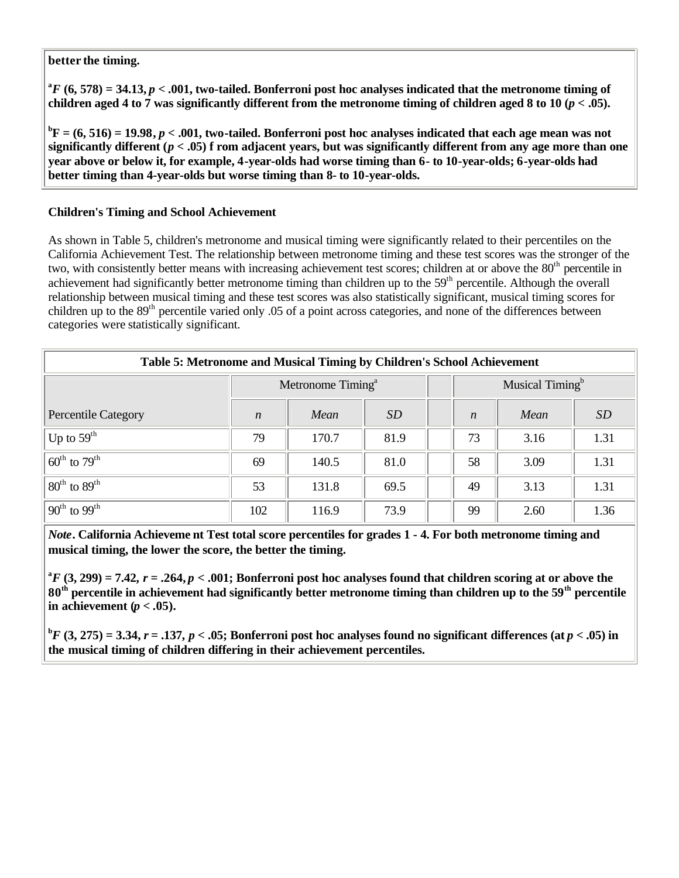# **better the timing.**

 ${}^{a}F$  (6, 578) = 34.13,  $p < .001$ , two-tailed. Bonferroni post hoc analyses indicated that the metronome timing of **children aged 4 to 7 was significantly different from the metronome timing of children aged 8 to 10 (** $p < .05$ **).** 

 ${}^{\text{b}}\text{F} = (6, 516) = 19.98, p < .001$ , two-tailed. Bonferroni post hoc analyses indicated that each age mean was not **significantly different (***p* **< .05) f rom adjacent years, but was significantly different from any age more than one year above or below it, for example, 4-year-olds had worse timing than 6- to 10-year-olds; 6-year-olds had better timing than 4-year-olds but worse timing than 8- to 10-year-olds.**

# **Children's Timing and School Achievement**

As shown in Table 5, children's metronome and musical timing were significantly related to their percentiles on the California Achievement Test. The relationship between metronome timing and these test scores was the stronger of the two, with consistently better means with increasing achievement test scores; children at or above the 80<sup>th</sup> percentile in achievement had significantly better metronome timing than children up to the 59<sup>th</sup> percentile. Although the overall relationship between musical timing and these test scores was also statistically significant, musical timing scores for children up to the 89<sup>th</sup> percentile varied only .05 of a point across categories, and none of the differences between categories were statistically significant.

| Table 5: Metronome and Musical Timing by Children's School Achievement |                               |       |           |  |                             |      |           |  |  |
|------------------------------------------------------------------------|-------------------------------|-------|-----------|--|-----------------------------|------|-----------|--|--|
|                                                                        | Metronome Timing <sup>a</sup> |       |           |  | Musical Timing <sup>b</sup> |      |           |  |  |
| <b>Percentile Category</b>                                             | $\boldsymbol{n}$              | Mean  | <i>SD</i> |  | $\boldsymbol{n}$            | Mean | <i>SD</i> |  |  |
| $\mathrm{^{+}Up}$ to $59^{\mathrm{th}}$                                | 79                            | 170.7 | 81.9      |  | 73                          | 3.16 | 1.31      |  |  |
| $60^{\text{th}}$ to $79^{\text{th}}$                                   | 69                            | 140.5 | 81.0      |  | 58                          | 3.09 | 1.31      |  |  |
| $80^{\text{th}}$ to $89^{\text{th}}$                                   | 53                            | 131.8 | 69.5      |  | 49                          | 3.13 | 1.31      |  |  |
| $90^{\text{th}}$ to $99^{\text{th}}$                                   | 102                           | 116.9 | 73.9      |  | 99                          | 2.60 | 1.36      |  |  |

*Note***. California Achieveme nt Test total score percentiles for grades 1 - 4. For both metronome timing and musical timing, the lower the score, the better the timing.**

 ${}^{a}F$  (3, 299) = 7.42,  $r = .264, p < .001$ ; Bonferroni post hoc analyses found that children scoring at or above the **80th percentile in achievement had significantly better metronome timing than children up to the 59th percentile**  in achievement  $(p < .05)$ .

**b**<sup>**F**</sup> (3, 275) = 3.34,  $r = .137$ ,  $p < .05$ ; Bonferroni post hoc analyses found no significant differences (at  $p < .05$ ) in **the musical timing of children differing in their achievement percentiles.**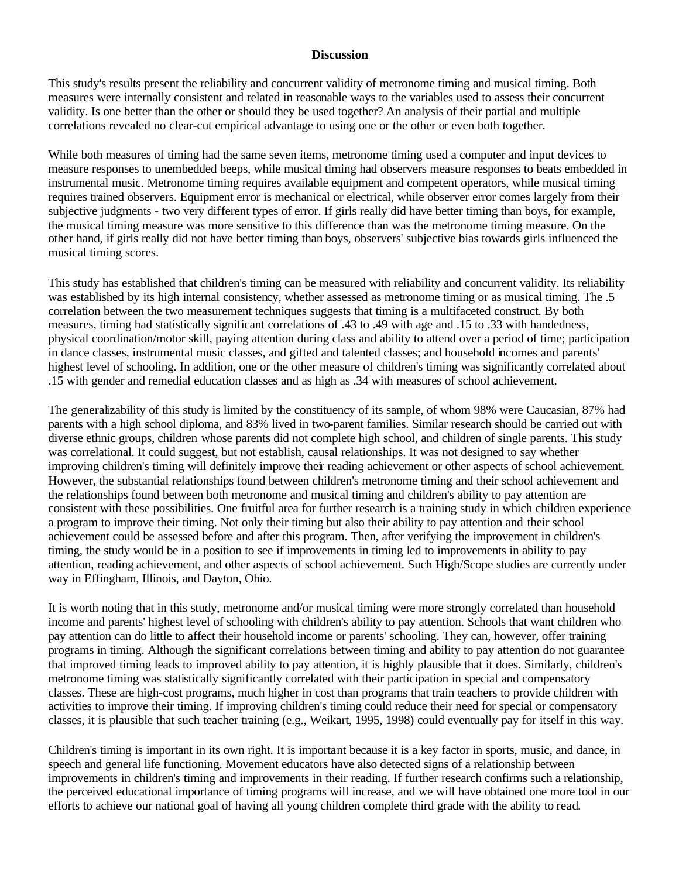#### **Discussion**

This study's results present the reliability and concurrent validity of metronome timing and musical timing. Both measures were internally consistent and related in reasonable ways to the variables used to assess their concurrent validity. Is one better than the other or should they be used together? An analysis of their partial and multiple correlations revealed no clear-cut empirical advantage to using one or the other or even both together.

While both measures of timing had the same seven items, metronome timing used a computer and input devices to measure responses to unembedded beeps, while musical timing had observers measure responses to beats embedded in instrumental music. Metronome timing requires available equipment and competent operators, while musical timing requires trained observers. Equipment error is mechanical or electrical, while observer error comes largely from their subjective judgments - two very different types of error. If girls really did have better timing than boys, for example, the musical timing measure was more sensitive to this difference than was the metronome timing measure. On the other hand, if girls really did not have better timing than boys, observers' subjective bias towards girls influenced the musical timing scores.

This study has established that children's timing can be measured with reliability and concurrent validity. Its reliability was established by its high internal consistency, whether assessed as metronome timing or as musical timing. The .5 correlation between the two measurement techniques suggests that timing is a multifaceted construct. By both measures, timing had statistically significant correlations of .43 to .49 with age and .15 to .33 with handedness, physical coordination/motor skill, paying attention during class and ability to attend over a period of time; participation in dance classes, instrumental music classes, and gifted and talented classes; and household incomes and parents' highest level of schooling. In addition, one or the other measure of children's timing was significantly correlated about .15 with gender and remedial education classes and as high as .34 with measures of school achievement.

The generalizability of this study is limited by the constituency of its sample, of whom 98% were Caucasian, 87% had parents with a high school diploma, and 83% lived in two-parent families. Similar research should be carried out with diverse ethnic groups, children whose parents did not complete high school, and children of single parents. This study was correlational. It could suggest, but not establish, causal relationships. It was not designed to say whether improving children's timing will definitely improve their reading achievement or other aspects of school achievement. However, the substantial relationships found between children's metronome timing and their school achievement and the relationships found between both metronome and musical timing and children's ability to pay attention are consistent with these possibilities. One fruitful area for further research is a training study in which children experience a program to improve their timing. Not only their timing but also their ability to pay attention and their school achievement could be assessed before and after this program. Then, after verifying the improvement in children's timing, the study would be in a position to see if improvements in timing led to improvements in ability to pay attention, reading achievement, and other aspects of school achievement. Such High/Scope studies are currently under way in Effingham, Illinois, and Dayton, Ohio.

It is worth noting that in this study, metronome and/or musical timing were more strongly correlated than household income and parents' highest level of schooling with children's ability to pay attention. Schools that want children who pay attention can do little to affect their household income or parents' schooling. They can, however, offer training programs in timing. Although the significant correlations between timing and ability to pay attention do not guarantee that improved timing leads to improved ability to pay attention, it is highly plausible that it does. Similarly, children's metronome timing was statistically significantly correlated with their participation in special and compensatory classes. These are high-cost programs, much higher in cost than programs that train teachers to provide children with activities to improve their timing. If improving children's timing could reduce their need for special or compensatory classes, it is plausible that such teacher training (e.g., Weikart, 1995, 1998) could eventually pay for itself in this way.

Children's timing is important in its own right. It is important because it is a key factor in sports, music, and dance, in speech and general life functioning. Movement educators have also detected signs of a relationship between improvements in children's timing and improvements in their reading. If further research confirms such a relationship, the perceived educational importance of timing programs will increase, and we will have obtained one more tool in our efforts to achieve our national goal of having all young children complete third grade with the ability to read.